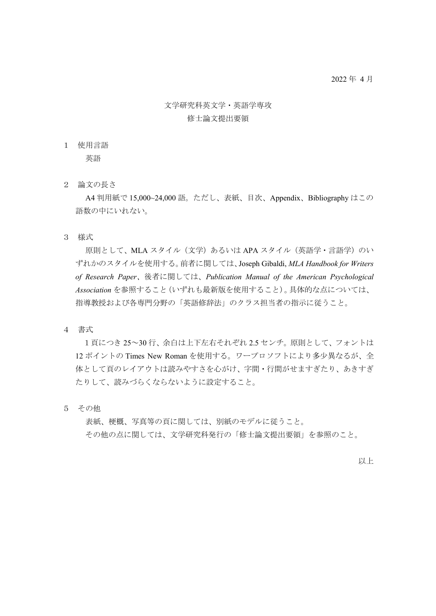## 文学研究科英文学・英語学専攻 修士論文提出要領

1 使用言語

英語

2 論文の長さ

 A4 判用紙で 15,000~24,000 語。ただし、表紙、目次、Appendix、Bibliography はこの 語数の中にいれない。

3 様式

原則として、MLA スタイル(文学)あるいは APA スタイル(英語学·言語学)のい ずれかのスタイルを使用する。前者に関しては、Joseph Gibaldi, *MLA Handbook for Writers of Research Paper*、後者に関しては、*Publication Manual of the American Psychological Association* を参照すること(いずれも最新版を使用すること)。具体的な点については、 指導教授および各専門分野の「英語修辞法」のクラス担当者の指示に従うこと。

4 書式

1頁につき 25~30 行、余白は上下左右それぞれ 2.5 センチ。原則として、フォントは 12 ポイントの Times New Roman を使用する。ワープロソフトにより多少異なるが、全 体として頁のレイアウトは読みやすさを心がけ、字間・行間がせますぎたり、あきすぎ たりして、読みづらくならないように設定すること。

5 その他

表紙、梗概、写真等の頁に関しては、別紙のモデルに従うこと。 その他の点に関しては、文学研究科発行の「修士論文提出要領」を参照のこと。

以上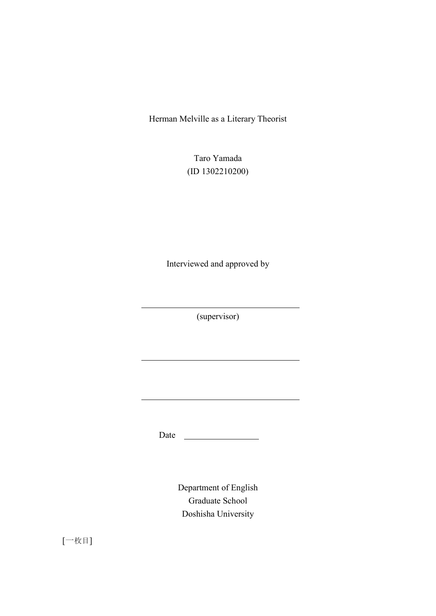Herman Melville as a Literary Theorist

Taro Yamada (ID 1302210200)

Interviewed and approved by

(supervisor)

Date

Department of English Graduate School Doshisha University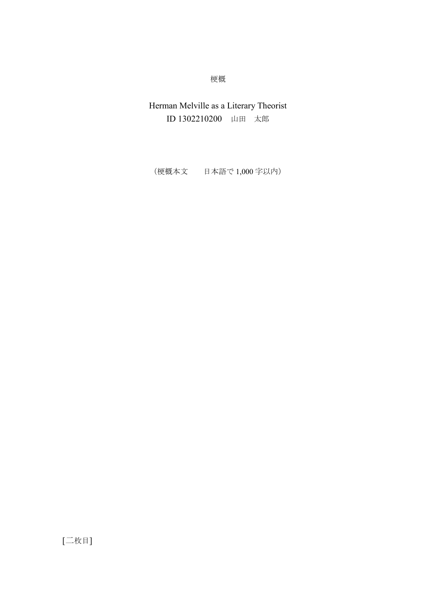梗概

Herman Melville as a Literary Theorist ID 1302210200 山田 太郎

(梗概本文 日本語で 1,000 字以内)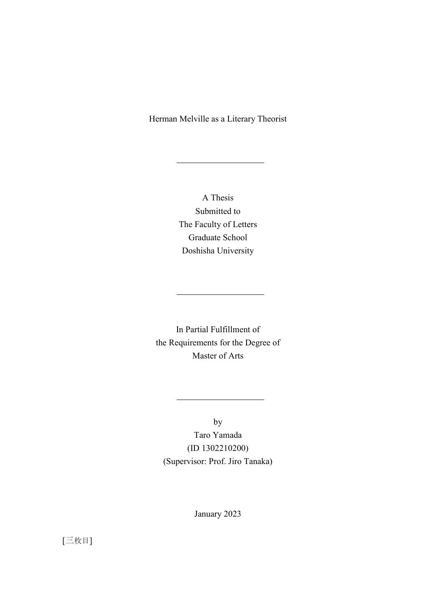## Herman Melville as a Literary Theorist

A Thesis Submitted to The Faculty of Letters Graduate School Doshisha University

In Partial Fulfillment of the Requirements for the Degree of Master of Arts

by

Taro Yamada (ID 1302210200) (Supervisor: Prof. Jiro Tanaka)

January 2023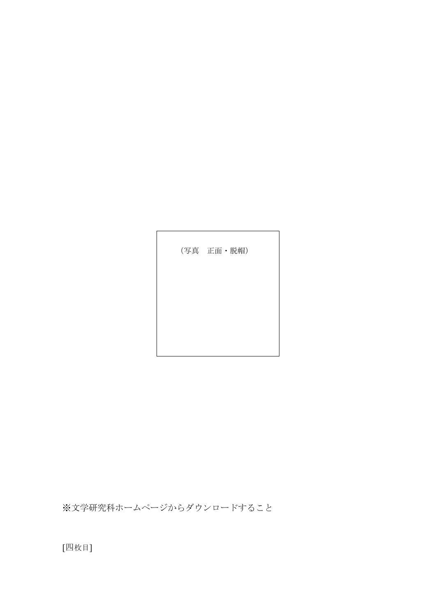[四枚目]

※文学研究科ホームページからダウンロードすること

(写真 正面・脱帽)